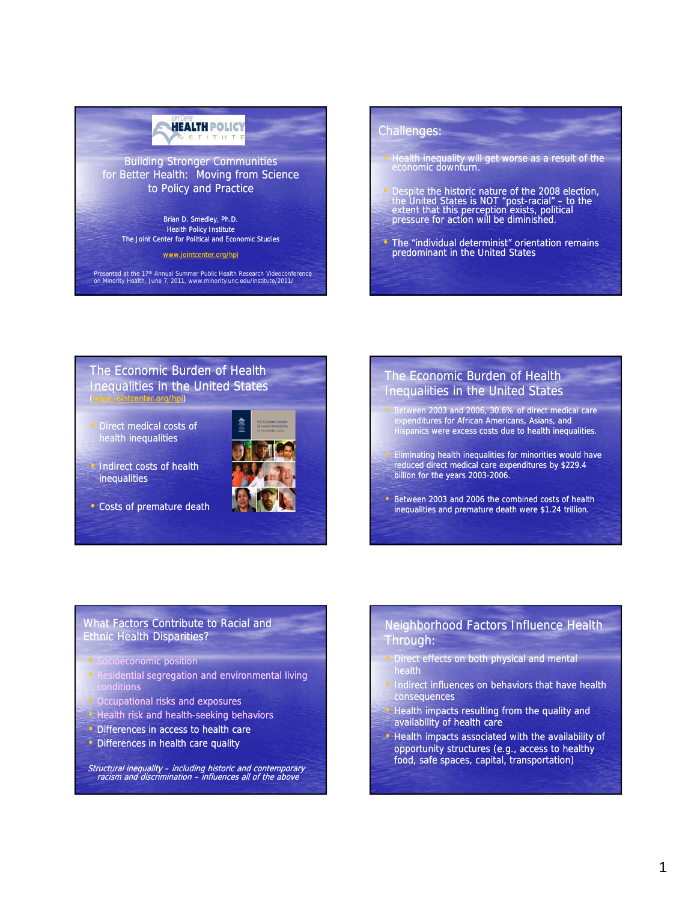# **HEALTH POLICY** STITUT Building Stronger Communities for Better Health: Moving from Science to Policy and Practice

Brian D. Smedley, Ph.D. Health Policy Institute The Joint Center for Political and Economic Studies

www.jointcenter.org/hpi

Presented at the 17<sup>th</sup> Annual Summer Public Health Research Videoconference on Minority Health, June 7, 2011, www.minority.unc.edu/institute/2011/

# Challenges:

- Health inequality will get worse as a result of the economic downturn.
- spite the historic nature of the 2008 election, the United States is NOT "post-racial" – to the extent that this perception exists, political pressure for action will be diminished.
- The "individual determinist" orientation remains<br>predominant in the United States

#### The Economic Burden of Health Inequalities in the United States (www.jointcenter.org/hpi)

• Direct medical costs of health inequalities



- Indirect costs of health inequalities
- Costs of premature death

# The Economic Burden of Health Inequalities in the United States

- Between 2003 and 2006, 30.6% of direct medical care expenditures for African Americans, Asians, and Hispanics were excess costs due to health inequalities.
- Eliminating health inequalities for minorities would have reduced direct medical care expenditures by \$229.4 billion for the years 2003-2006.
- Between 2003 and 2006 the combined costs of health inequalities and premature death were \$1.24 trillion.

## What Factors Contribute to Racial and Ethnic Health Disparities?

- Socioeconomic position
- Residential segregation and environmental living conditions
- Occupational risks and exposures
- Health risk and health-seeking behaviors
- Differences in access to health care
- Differences in health care quality

Structural inequality - including historic and contemporary racism and discrimination – influences all of the above

# Neighborhood Factors Influence Health Through:

- Direct effects on both physical and mental health
- Indirect influences on behaviors that have health consequences
- Health impacts resulting from the quality and availability of health care
- Health impacts associated with the availability of opportunity structures (e.g., access to healthy food, safe spaces, capital, transportation)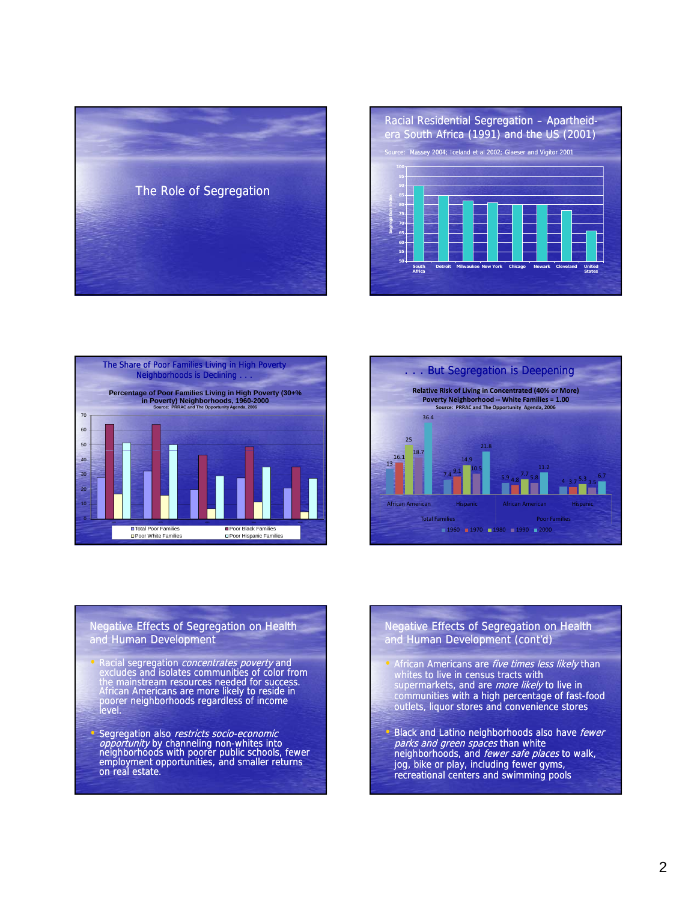





![](_page_1_Figure_3.jpeg)

Negative Effects of Segregation on Health and Human Development

- Racial segregation *concentrates poverty* and<br>
excludes and isolates communities of color from the mainstream resources needed for success. African Americans are more likely to reside in poorer neighborhoods regardless of income level.
- Segregation also restricts socio-economic *opportunity* by channeling non-whites into<br>neighborhoods with poorer public schools, fewer employment opportunities, and smaller returns on real estate.

#### Negative Effects of Segregation on Health and Human Development (cont'd)

- African Americans are *five times less likely* than whites to live in census tracts with supermarkets, and are *more likely* to live in communities with a high percentage of fast-food outlets, liquor stores and convenience stores
- Black and Latino neighborhoods also have fewer parks and green spaces than white neighborhoods, and fewer safe places to walk, jog, bike or play, including fewer gyms, recreational centers and swimming pools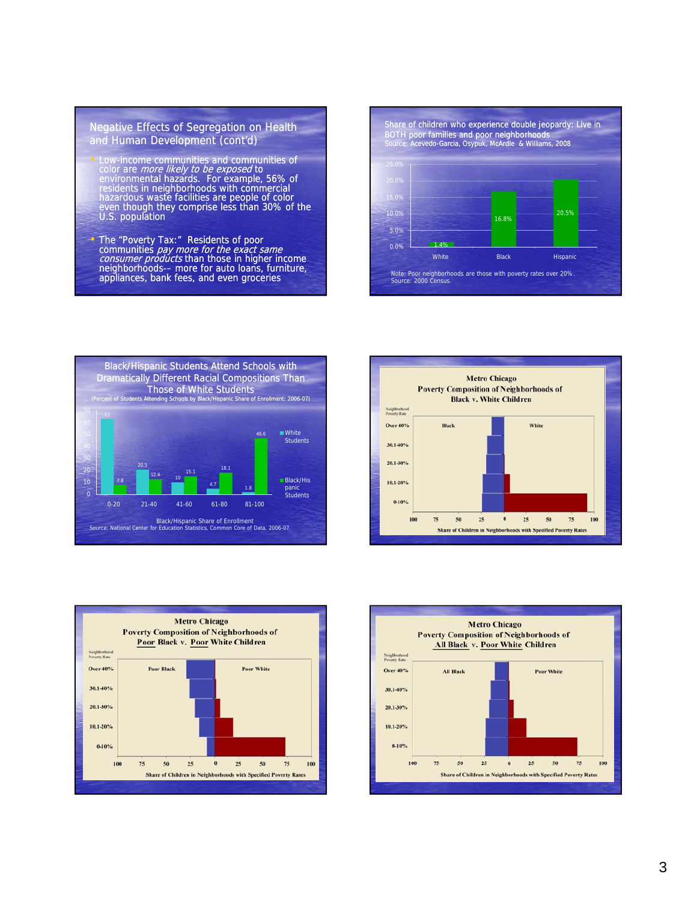#### Negative Effects of Segregation on Health and Human Development (cont'd)

- Low-income communities and communities of color are *more likely to be exposed* to<br>environmental hazards. For example, 56% of residents in neighborhoods with commercial hazardous waste facilities are people of color even though they comprise less than 30% of the U.S. population
- The "Poverty Tax:" Residents of poor communities *pay more for the exact same* consumer products than those in higher income neighborhoods-– more for auto loans, furniture, appliances, bank fees, and even groceries

![](_page_2_Figure_3.jpeg)

![](_page_2_Figure_4.jpeg)

![](_page_2_Figure_5.jpeg)

![](_page_2_Figure_6.jpeg)

![](_page_2_Figure_7.jpeg)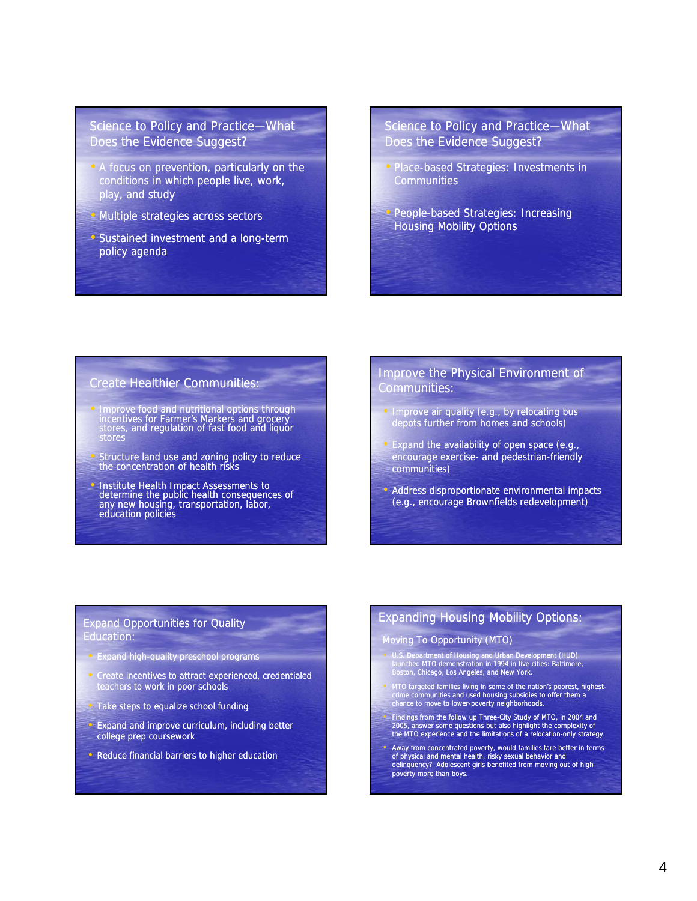## Science to Policy and Practice—What Does the Evidence Suggest?

- A focus on prevention, particularly on the conditions in which people live, work, play, and study
- Multiple strategies across sectors
- Sustained investment and a long-term policy agenda

## Science to Policy and Practice—What Does the Evidence Suggest?

- Place-based Strategies: Investments in **Communities**
- People-based Strategies: Increasing Housing Mobility Options

## Create Healthier Communities:

- Improve food and nutritional options through incentives for Farmer's Markers and grocery stores, and regulation of fast food and liquor stores
- Structure land use and zoning policy to reduce the concentration of health risks
- Institute Health Impact Assessments to determine the public health consequences of any new housing, transportation, labor, education policies

## Improve the Physical Environment of Communities:

- Improve air quality (e.g., by relocating bus depots further from homes and schools)
- $\bullet$  Expand the availability of open space (e.g., encourage exercise- and pedestrian-friendly communities)
- Address disproportionate environmental impacts (e.g., encourage Brownfields redevelopment)

#### Expand Opportunities for Quality Education:

- Expand high-quality preschool programs
- Create incentives to attract experienced, credentialed teachers to work in poor schools
- **Take steps to equalize school funding**
- Expand and improve curriculum, including better college prep coursework
- Reduce financial barriers to higher education

## Expanding Housing Mobility Options:

#### Moving To Opportunity (MTO)

- U.S. Department of Housing and Urban Development (HUD) launched MTO demonstration in 1994 in five cities: Baltimore, Boston, Chicago, Los Angeles, and New York.
- MTO targeted families living in some of the nation's poorest, highest-<br>crime communities and used housing subsidies to offer them a<br>chance to move to lower-poverty neighborhoods.
- Findings from the follow up Three-City Study of MTO, in 2004 and 2005, answer some questions but also highlight the complexity of<br>the MTO experience and the limitations of a relocation-only strategy.
- Away from concentrated poverty, would families fare better in terms of physical and mental health, risky sexual behavior and delinquency? Adolescent girls benefited from moving out of high poverty more than boys.